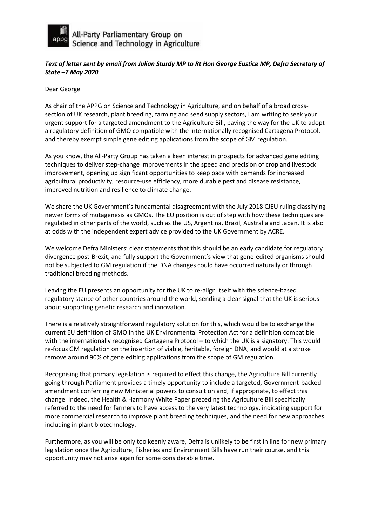

All-Party Parliamentary Group on<br>Science and Technology in Agriculture

## *Text of letter sent by email from Julian Sturdy MP to Rt Hon George Eustice MP, Defra Secretary of State –7 May 2020*

Dear George

As chair of the APPG on Science and Technology in Agriculture, and on behalf of a broad crosssection of UK research, plant breeding, farming and seed supply sectors, I am writing to seek your urgent support for a targeted amendment to the Agriculture Bill, paving the way for the UK to adopt a regulatory definition of GMO compatible with the internationally recognised Cartagena Protocol, and thereby exempt simple gene editing applications from the scope of GM regulation.

As you know, the All-Party Group has taken a keen interest in prospects for advanced gene editing techniques to deliver step-change improvements in the speed and precision of crop and livestock improvement, opening up significant opportunities to keep pace with demands for increased agricultural productivity, resource-use efficiency, more durable pest and disease resistance, improved nutrition and resilience to climate change.

We share the UK Government's fundamental disagreement with the July 2018 CJEU ruling classifying newer forms of mutagenesis as GMOs. The EU position is out of step with how these techniques are regulated in other parts of the world, such as the US, Argentina, Brazil, Australia and Japan. It is also at odds with the independent expert advice provided to the UK Government by ACRE.

We welcome Defra Ministers' clear statements that this should be an early candidate for regulatory divergence post-Brexit, and fully support the Government's view that gene-edited organisms should not be subjected to GM regulation if the DNA changes could have occurred naturally or through traditional breeding methods.

Leaving the EU presents an opportunity for the UK to re-align itself with the science-based regulatory stance of other countries around the world, sending a clear signal that the UK is serious about supporting genetic research and innovation.

There is a relatively straightforward regulatory solution for this, which would be to exchange the current EU definition of GMO in the UK Environmental Protection Act for a definition compatible with the internationally recognised Cartagena Protocol - to which the UK is a signatory. This would re-focus GM regulation on the insertion of viable, heritable, foreign DNA, and would at a stroke remove around 90% of gene editing applications from the scope of GM regulation.

Recognising that primary legislation is required to effect this change, the Agriculture Bill currently going through Parliament provides a timely opportunity to include a targeted, Government-backed amendment conferring new Ministerial powers to consult on and, if appropriate, to effect this change. Indeed, the Health & Harmony White Paper preceding the Agriculture Bill specifically referred to the need for farmers to have access to the very latest technology, indicating support for more commercial research to improve plant breeding techniques, and the need for new approaches, including in plant biotechnology.

Furthermore, as you will be only too keenly aware, Defra is unlikely to be first in line for new primary legislation once the Agriculture, Fisheries and Environment Bills have run their course, and this opportunity may not arise again for some considerable time.